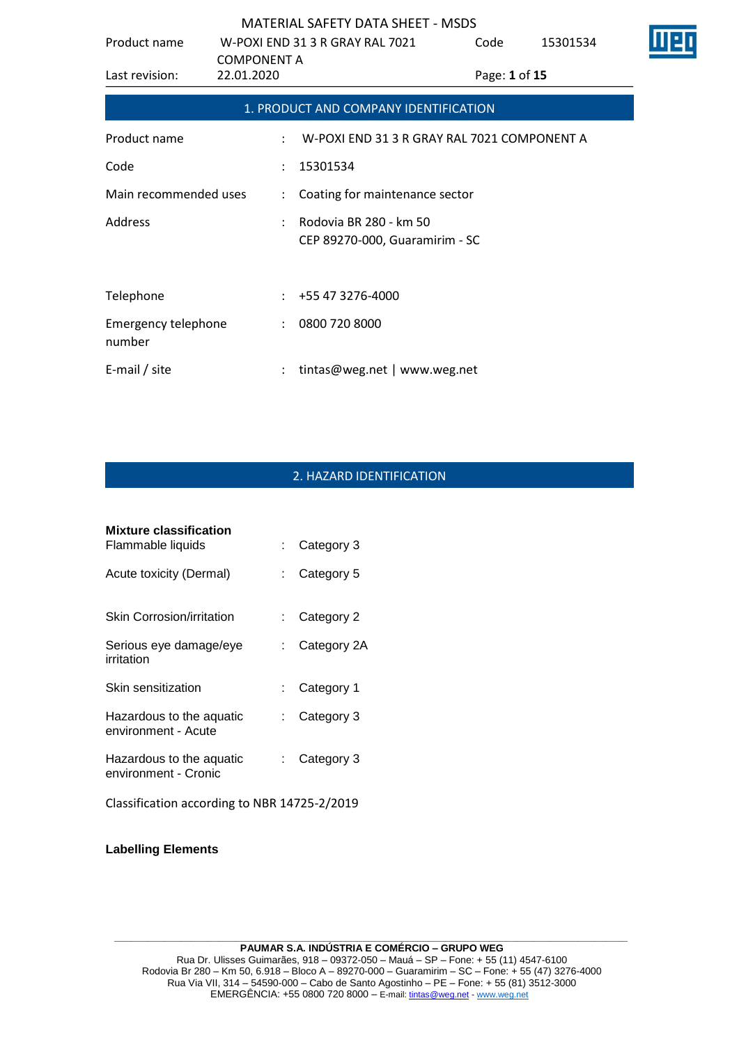| Product name                  |                      | W-POXI END 31 3 R GRAY RAL 7021                          | Code          | 15301534 |  |
|-------------------------------|----------------------|----------------------------------------------------------|---------------|----------|--|
|                               | <b>COMPONENT A</b>   |                                                          |               |          |  |
| Last revision:                | 22.01.2020           |                                                          | Page: 1 of 15 |          |  |
|                               |                      | 1. PRODUCT AND COMPANY IDENTIFICATION                    |               |          |  |
| Product name                  | ÷                    | W-POXI END 31 3 R GRAY RAL 7021 COMPONENT A              |               |          |  |
| Code                          | $\mathcal{L}$        | 15301534                                                 |               |          |  |
| Main recommended uses         |                      | : Coating for maintenance sector                         |               |          |  |
| Address                       |                      | Rodovia BR 280 - km 50<br>CEP 89270-000, Guaramirim - SC |               |          |  |
|                               |                      |                                                          |               |          |  |
| Telephone                     |                      | $: +55473276-4000$                                       |               |          |  |
| Emergency telephone<br>number | $\ddot{\phantom{a}}$ | 0800 720 8000                                            |               |          |  |
| E-mail / site                 |                      | tintas@weg.net   www.weg.net                             |               |          |  |

# 2. HAZARD IDENTIFICATION

| <b>Mixture classification</b>                    |             |
|--------------------------------------------------|-------------|
| Flammable liquids                                | Category 3  |
| Acute toxicity (Dermal)                          | Category 5  |
| Skin Corrosion/irritation                        | Category 2  |
| Serious eye damage/eye<br>irritation             | Category 2A |
| Skin sensitization                               | Category 1  |
| Hazardous to the aquatic<br>environment - Acute  | Category 3  |
| Hazardous to the aquatic<br>environment - Cronic | Category 3  |
| Classification according to NBR 14725-2/2019     |             |

**Labelling Elements**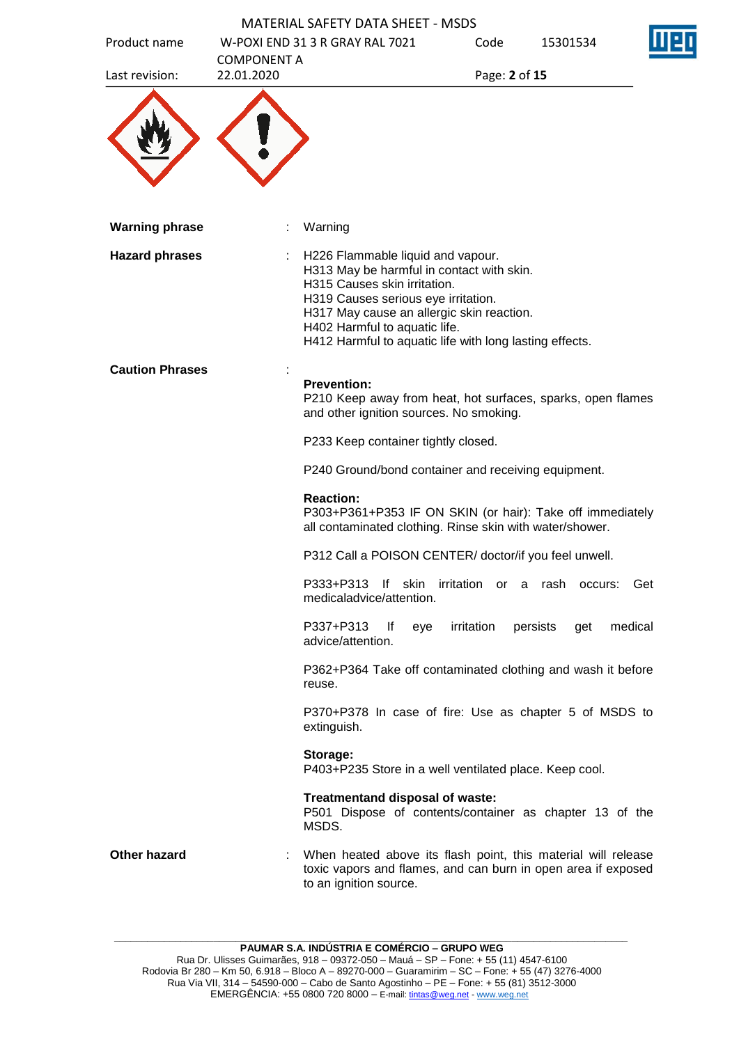|                        |                    | <b>MATERIAL SAFETY DATA SHEET - MSDS</b>                                                                                                                                                                                                                                                       |               |                 |         |
|------------------------|--------------------|------------------------------------------------------------------------------------------------------------------------------------------------------------------------------------------------------------------------------------------------------------------------------------------------|---------------|-----------------|---------|
| Product name           | <b>COMPONENT A</b> | W-POXI END 31 3 R GRAY RAL 7021                                                                                                                                                                                                                                                                | Code          | 15301534        |         |
| Last revision:         | 22.01.2020         |                                                                                                                                                                                                                                                                                                | Page: 2 of 15 |                 |         |
|                        |                    |                                                                                                                                                                                                                                                                                                |               |                 |         |
| <b>Warning phrase</b>  |                    | Warning                                                                                                                                                                                                                                                                                        |               |                 |         |
| <b>Hazard phrases</b>  |                    | H226 Flammable liquid and vapour.<br>H313 May be harmful in contact with skin.<br>H315 Causes skin irritation.<br>H319 Causes serious eye irritation.<br>H317 May cause an allergic skin reaction.<br>H402 Harmful to aquatic life.<br>H412 Harmful to aquatic life with long lasting effects. |               |                 |         |
| <b>Caution Phrases</b> |                    | <b>Prevention:</b><br>P210 Keep away from heat, hot surfaces, sparks, open flames<br>and other ignition sources. No smoking.                                                                                                                                                                   |               |                 |         |
|                        |                    | P233 Keep container tightly closed.                                                                                                                                                                                                                                                            |               |                 |         |
|                        |                    | P240 Ground/bond container and receiving equipment.                                                                                                                                                                                                                                            |               |                 |         |
|                        |                    | <b>Reaction:</b><br>P303+P361+P353 IF ON SKIN (or hair): Take off immediately<br>all contaminated clothing. Rinse skin with water/shower.                                                                                                                                                      |               |                 |         |
|                        |                    | P312 Call a POISON CENTER/ doctor/if you feel unwell.                                                                                                                                                                                                                                          |               |                 |         |
|                        |                    | P333+P313 If skin irritation or a rash occurs:<br>medicaladvice/attention.                                                                                                                                                                                                                     |               |                 | Get     |
|                        |                    | P337+P313<br>lf<br>eye<br>advice/attention.                                                                                                                                                                                                                                                    | irritation    | persists<br>get | medical |
|                        |                    | P362+P364 Take off contaminated clothing and wash it before<br>reuse.                                                                                                                                                                                                                          |               |                 |         |
|                        |                    | P370+P378 In case of fire: Use as chapter 5 of MSDS to<br>extinguish.                                                                                                                                                                                                                          |               |                 |         |
|                        |                    | Storage:<br>P403+P235 Store in a well ventilated place. Keep cool.                                                                                                                                                                                                                             |               |                 |         |
|                        |                    | Treatmentand disposal of waste:<br>P501 Dispose of contents/container as chapter 13 of the<br>MSDS.                                                                                                                                                                                            |               |                 |         |
| <b>Other hazard</b>    |                    | When heated above its flash point, this material will release<br>toxic vapors and flames, and can burn in open area if exposed<br>to an ignition source.                                                                                                                                       |               |                 |         |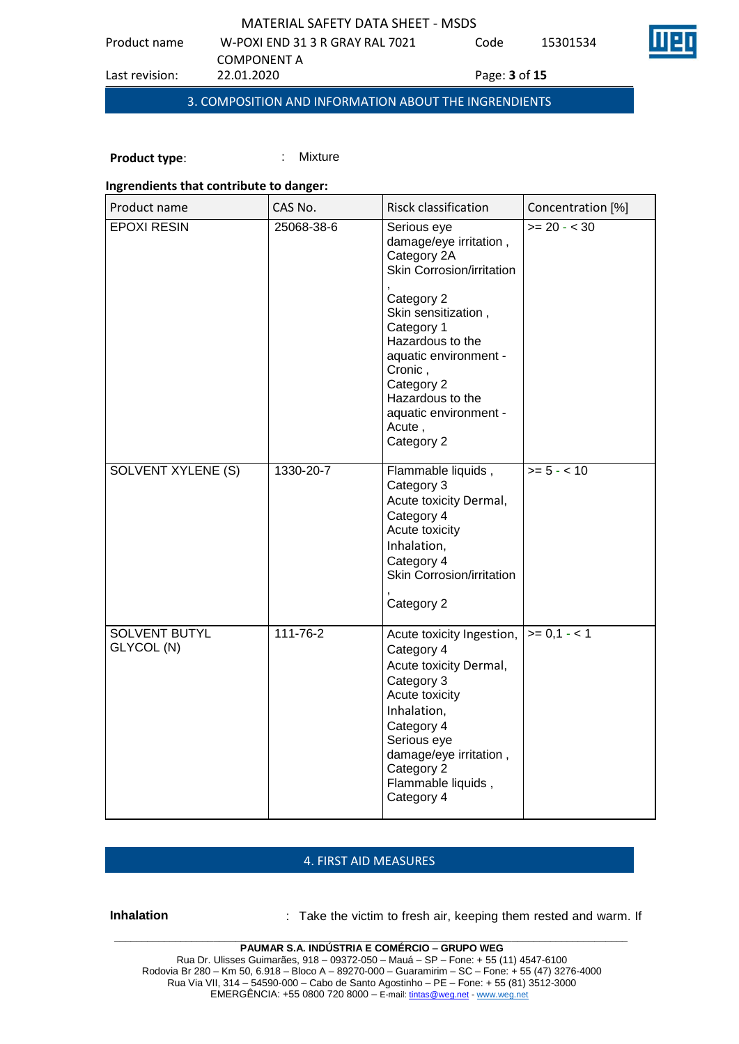Code 15301534

COMPONENT A<br>22.01.2020

Product name W-POXI END 31 3 R GRAY RAL 7021

Last revision: 22.01.2020 Page: **3** of **15**

3. COMPOSITION AND INFORMATION ABOUT THE INGRENDIENTS

**Product type:** : : : : : Mixture

### **Ingrendients that contribute to danger:**

| Product name                | CAS No.    | Risck classification                                                                                                                                                                                                                                                            | Concentration [%] |
|-----------------------------|------------|---------------------------------------------------------------------------------------------------------------------------------------------------------------------------------------------------------------------------------------------------------------------------------|-------------------|
| <b>EPOXI RESIN</b>          | 25068-38-6 | Serious eye<br>damage/eye irritation,<br>Category 2A<br>Skin Corrosion/irritation<br>Category 2<br>Skin sensitization,<br>Category 1<br>Hazardous to the<br>aquatic environment -<br>Cronic,<br>Category 2<br>Hazardous to the<br>aquatic environment -<br>Acute,<br>Category 2 | $>= 20 - < 30$    |
| SOLVENT XYLENE (S)          | 1330-20-7  | Flammable liquids,<br>Category 3<br>Acute toxicity Dermal,<br>Category 4<br>Acute toxicity<br>Inhalation,<br>Category 4<br>Skin Corrosion/irritation<br>Category 2                                                                                                              | $>= 5 - < 10$     |
| SOLVENT BUTYL<br>GLYCOL (N) | 111-76-2   | Acute toxicity Ingestion,<br>Category 4<br>Acute toxicity Dermal,<br>Category 3<br>Acute toxicity<br>Inhalation,<br>Category 4<br>Serious eye<br>damage/eye irritation,<br>Category 2<br>Flammable liquids,<br>Category 4                                                       | $>= 0,1 - 1$      |

## 4. FIRST AID MEASURES

**Inhalation** : Take the victim to fresh air, keeping them rested and warm. If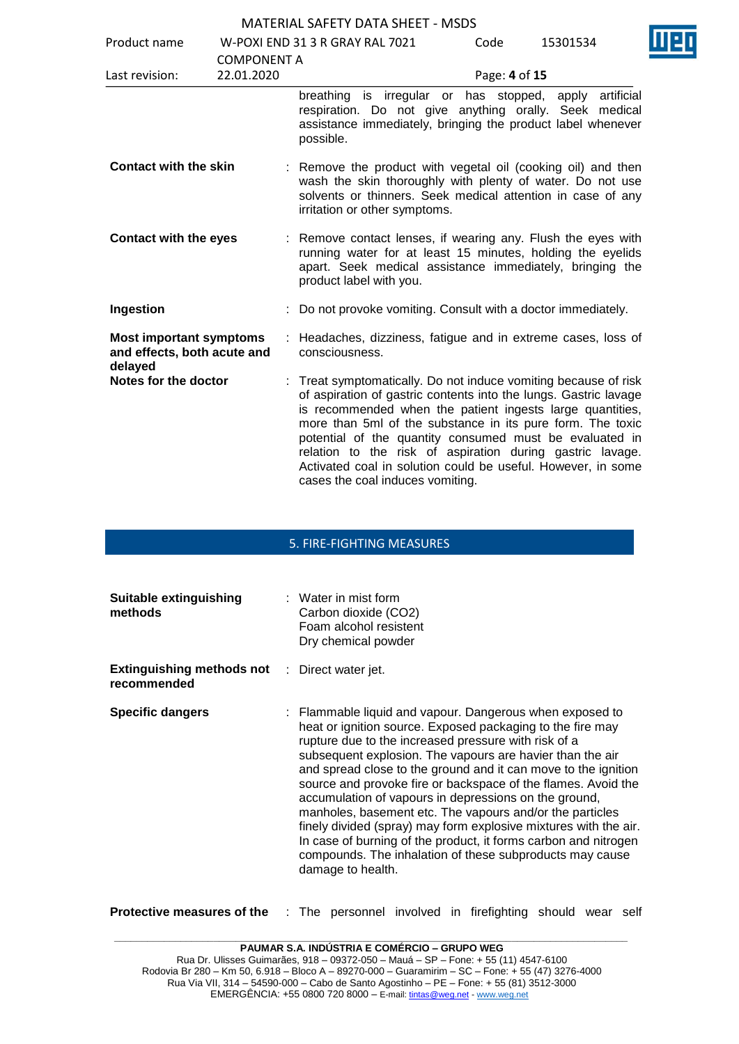| Product name                                                             |                                  | W-POXI END 31 3 R GRAY RAL 7021                                                                                                                                                                                                                                                                                                                                                                                                                                                            | Code          | 15301534   |  |
|--------------------------------------------------------------------------|----------------------------------|--------------------------------------------------------------------------------------------------------------------------------------------------------------------------------------------------------------------------------------------------------------------------------------------------------------------------------------------------------------------------------------------------------------------------------------------------------------------------------------------|---------------|------------|--|
| Last revision:                                                           | <b>COMPONENT A</b><br>22.01.2020 |                                                                                                                                                                                                                                                                                                                                                                                                                                                                                            | Page: 4 of 15 |            |  |
|                                                                          |                                  | is irregular or has stopped, apply<br>breathing<br>respiration. Do not give anything orally. Seek medical<br>assistance immediately, bringing the product label whenever<br>possible.                                                                                                                                                                                                                                                                                                      |               | artificial |  |
| <b>Contact with the skin</b>                                             |                                  | : Remove the product with vegetal oil (cooking oil) and then<br>wash the skin thoroughly with plenty of water. Do not use<br>solvents or thinners. Seek medical attention in case of any<br>irritation or other symptoms.                                                                                                                                                                                                                                                                  |               |            |  |
| <b>Contact with the eyes</b>                                             |                                  | : Remove contact lenses, if wearing any. Flush the eyes with<br>running water for at least 15 minutes, holding the eyelids<br>apart. Seek medical assistance immediately, bringing the<br>product label with you.                                                                                                                                                                                                                                                                          |               |            |  |
| Ingestion                                                                |                                  | Do not provoke vomiting. Consult with a doctor immediately.                                                                                                                                                                                                                                                                                                                                                                                                                                |               |            |  |
| <b>Most important symptoms</b><br>and effects, both acute and<br>delayed |                                  | Headaches, dizziness, fatigue and in extreme cases, loss of<br>consciousness.                                                                                                                                                                                                                                                                                                                                                                                                              |               |            |  |
| Notes for the doctor                                                     |                                  | : Treat symptomatically. Do not induce vomiting because of risk<br>of aspiration of gastric contents into the lungs. Gastric lavage<br>is recommended when the patient ingests large quantities,<br>more than 5ml of the substance in its pure form. The toxic<br>potential of the quantity consumed must be evaluated in<br>relation to the risk of aspiration during gastric lavage.<br>Activated coal in solution could be useful. However, in some<br>cases the coal induces vomiting. |               |            |  |

#### 5. FIRE-FIGHTING MEASURES

| Suitable extinguishing<br>methods               | $\therefore$ Water in mist form<br>Carbon dioxide (CO2)<br>Foam alcohol resistent<br>Dry chemical powder                                                                                                                                                                                                                                                                                                                                                                                                                                                                                                                                                                                                                    |
|-------------------------------------------------|-----------------------------------------------------------------------------------------------------------------------------------------------------------------------------------------------------------------------------------------------------------------------------------------------------------------------------------------------------------------------------------------------------------------------------------------------------------------------------------------------------------------------------------------------------------------------------------------------------------------------------------------------------------------------------------------------------------------------------|
| <b>Extinguishing methods not</b><br>recommended | : Direct water jet.                                                                                                                                                                                                                                                                                                                                                                                                                                                                                                                                                                                                                                                                                                         |
| <b>Specific dangers</b>                         | : Flammable liquid and vapour. Dangerous when exposed to<br>heat or ignition source. Exposed packaging to the fire may<br>rupture due to the increased pressure with risk of a<br>subsequent explosion. The vapours are havier than the air<br>and spread close to the ground and it can move to the ignition<br>source and provoke fire or backspace of the flames. Avoid the<br>accumulation of vapours in depressions on the ground,<br>manholes, basement etc. The vapours and/or the particles<br>finely divided (spray) may form explosive mixtures with the air.<br>In case of burning of the product, it forms carbon and nitrogen<br>compounds. The inhalation of these subproducts may cause<br>damage to health. |

**Protective measures of the** : The personnel involved in firefighting should wear self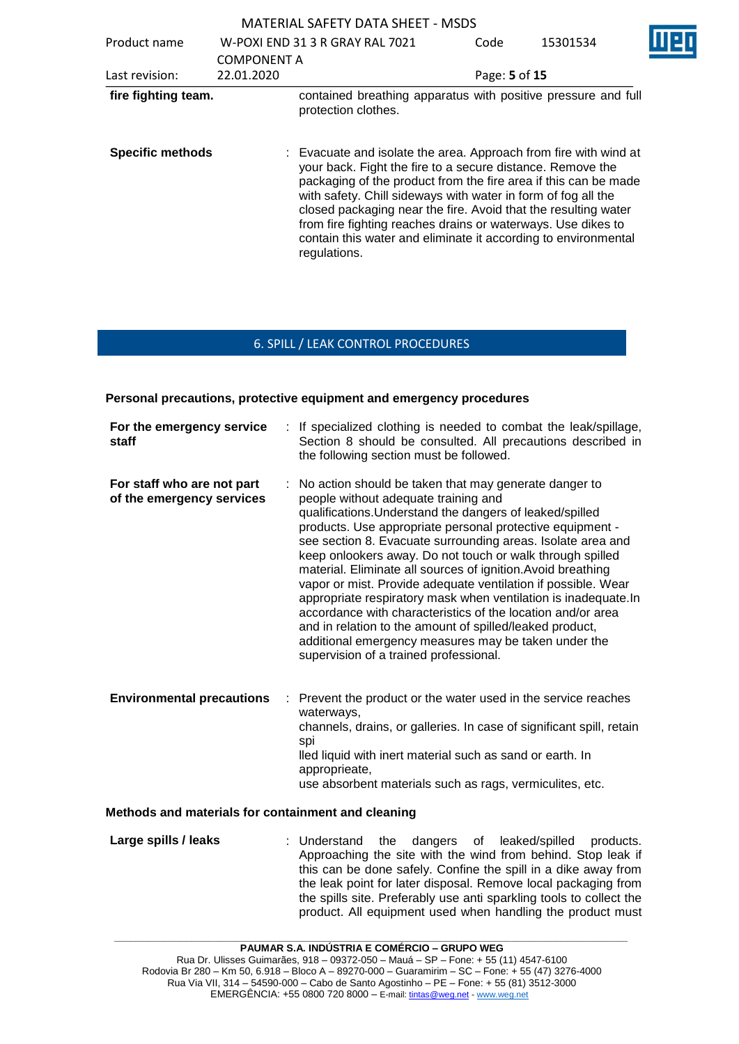MATERIAL SAFETY DATA SHEET - MSDS Product name W-POXI END 31 3 R GRAY RAL 7021 COMPONENT A Code 15301534 Last revision: 22.01.2020 Page: **5** of **15 fire fighting team.** contained breathing apparatus with positive pressure and full protection clothes. **Specific methods** : Evacuate and isolate the area. Approach from fire with wind at your back. Fight the fire to a secure distance. Remove the packaging of the product from the fire area if this can be made with safety. Chill sideways with water in form of fog all the closed packaging near the fire. Avoid that the resulting water from fire fighting reaches drains or waterways. Use dikes to contain this water and eliminate it according to environmental regulations.

### 6. SPILL / LEAK CONTROL PROCEDURES

**Personal precautions, protective equipment and emergency procedures**

| For the emergency service<br>staff                      | : If specialized clothing is needed to combat the leak/spillage,<br>Section 8 should be consulted. All precautions described in<br>the following section must be followed.                                                                                                                                                                                                                                                                                                                                                                                                                                                                                                                                                                                                          |
|---------------------------------------------------------|-------------------------------------------------------------------------------------------------------------------------------------------------------------------------------------------------------------------------------------------------------------------------------------------------------------------------------------------------------------------------------------------------------------------------------------------------------------------------------------------------------------------------------------------------------------------------------------------------------------------------------------------------------------------------------------------------------------------------------------------------------------------------------------|
| For staff who are not part<br>of the emergency services | No action should be taken that may generate danger to<br>people without adequate training and<br>qualifications. Understand the dangers of leaked/spilled<br>products. Use appropriate personal protective equipment -<br>see section 8. Evacuate surrounding areas. Isolate area and<br>keep onlookers away. Do not touch or walk through spilled<br>material. Eliminate all sources of ignition. Avoid breathing<br>vapor or mist. Provide adequate ventilation if possible. Wear<br>appropriate respiratory mask when ventilation is inadequate. In<br>accordance with characteristics of the location and/or area<br>and in relation to the amount of spilled/leaked product,<br>additional emergency measures may be taken under the<br>supervision of a trained professional. |
| <b>Environmental precautions</b><br>÷                   | Prevent the product or the water used in the service reaches<br>waterways,<br>channels, drains, or galleries. In case of significant spill, retain<br>spi<br>lled liquid with inert material such as sand or earth. In<br>approprieate,<br>use absorbent materials such as rags, vermiculites, etc.                                                                                                                                                                                                                                                                                                                                                                                                                                                                                 |

#### **Methods and materials for containment and cleaning**

**Large spills / leaks** : Understand the dangers of leaked/spilled products. Approaching the site with the wind from behind. Stop leak if this can be done safely. Confine the spill in a dike away from the leak point for later disposal. Remove local packaging from the spills site. Preferably use anti sparkling tools to collect the product. All equipment used when handling the product must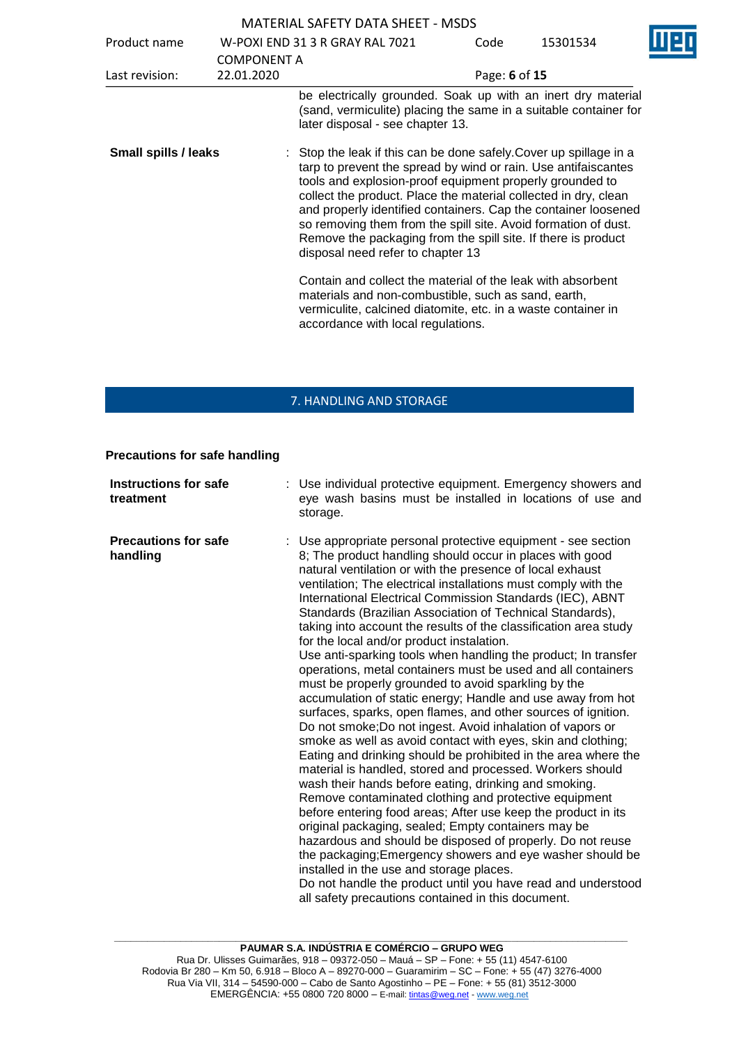|                      |                                  | <b>MATERIAL SAFETY DATA SHEET - MSDS</b>                                                                                                                                                                                                                                                                                                                                                                                                                                                                      |               |          |  |
|----------------------|----------------------------------|---------------------------------------------------------------------------------------------------------------------------------------------------------------------------------------------------------------------------------------------------------------------------------------------------------------------------------------------------------------------------------------------------------------------------------------------------------------------------------------------------------------|---------------|----------|--|
| Product name         |                                  | W-POXI END 31 3 R GRAY RAL 7021                                                                                                                                                                                                                                                                                                                                                                                                                                                                               | Code          | 15301534 |  |
| Last revision:       | <b>COMPONENT A</b><br>22.01.2020 |                                                                                                                                                                                                                                                                                                                                                                                                                                                                                                               | Page: 6 of 15 |          |  |
|                      |                                  | be electrically grounded. Soak up with an inert dry material<br>(sand, vermiculite) placing the same in a suitable container for<br>later disposal - see chapter 13.                                                                                                                                                                                                                                                                                                                                          |               |          |  |
| Small spills / leaks |                                  | : Stop the leak if this can be done safely. Cover up spillage in a<br>tarp to prevent the spread by wind or rain. Use antifaiscantes<br>tools and explosion-proof equipment properly grounded to<br>collect the product. Place the material collected in dry, clean<br>and properly identified containers. Cap the container loosened<br>so removing them from the spill site. Avoid formation of dust.<br>Remove the packaging from the spill site. If there is product<br>disposal need refer to chapter 13 |               |          |  |
|                      |                                  | Contain and collect the material of the leak with absorbent<br>materials and non-combustible, such as sand, earth,<br>vermiculite, calcined diatomite, etc. in a waste container in<br>accordance with local regulations.                                                                                                                                                                                                                                                                                     |               |          |  |

## 7. HANDLING AND STORAGE

#### **Precautions for safe handling**

| <b>Instructions for safe</b><br>treatment | : Use individual protective equipment. Emergency showers and<br>eye wash basins must be installed in locations of use and<br>storage.                                                                                                                                                                                                                                                                                                                                                                                                                                                                                                                                                                                                                                                                                                                                                                                                                                                                                                                                                                                                                                                                                                                                                                                                                                                                                                                                                                                                                                                                                            |
|-------------------------------------------|----------------------------------------------------------------------------------------------------------------------------------------------------------------------------------------------------------------------------------------------------------------------------------------------------------------------------------------------------------------------------------------------------------------------------------------------------------------------------------------------------------------------------------------------------------------------------------------------------------------------------------------------------------------------------------------------------------------------------------------------------------------------------------------------------------------------------------------------------------------------------------------------------------------------------------------------------------------------------------------------------------------------------------------------------------------------------------------------------------------------------------------------------------------------------------------------------------------------------------------------------------------------------------------------------------------------------------------------------------------------------------------------------------------------------------------------------------------------------------------------------------------------------------------------------------------------------------------------------------------------------------|
| <b>Precautions for safe</b><br>handling   | : Use appropriate personal protective equipment - see section<br>8; The product handling should occur in places with good<br>natural ventilation or with the presence of local exhaust<br>ventilation; The electrical installations must comply with the<br>International Electrical Commission Standards (IEC), ABNT<br>Standards (Brazilian Association of Technical Standards),<br>taking into account the results of the classification area study<br>for the local and/or product instalation.<br>Use anti-sparking tools when handling the product; In transfer<br>operations, metal containers must be used and all containers<br>must be properly grounded to avoid sparkling by the<br>accumulation of static energy; Handle and use away from hot<br>surfaces, sparks, open flames, and other sources of ignition.<br>Do not smoke; Do not ingest. Avoid inhalation of vapors or<br>smoke as well as avoid contact with eyes, skin and clothing;<br>Eating and drinking should be prohibited in the area where the<br>material is handled, stored and processed. Workers should<br>wash their hands before eating, drinking and smoking.<br>Remove contaminated clothing and protective equipment<br>before entering food areas; After use keep the product in its<br>original packaging, sealed; Empty containers may be<br>hazardous and should be disposed of properly. Do not reuse<br>the packaging; Emergency showers and eye washer should be<br>installed in the use and storage places.<br>Do not handle the product until you have read and understood<br>all safety precautions contained in this document. |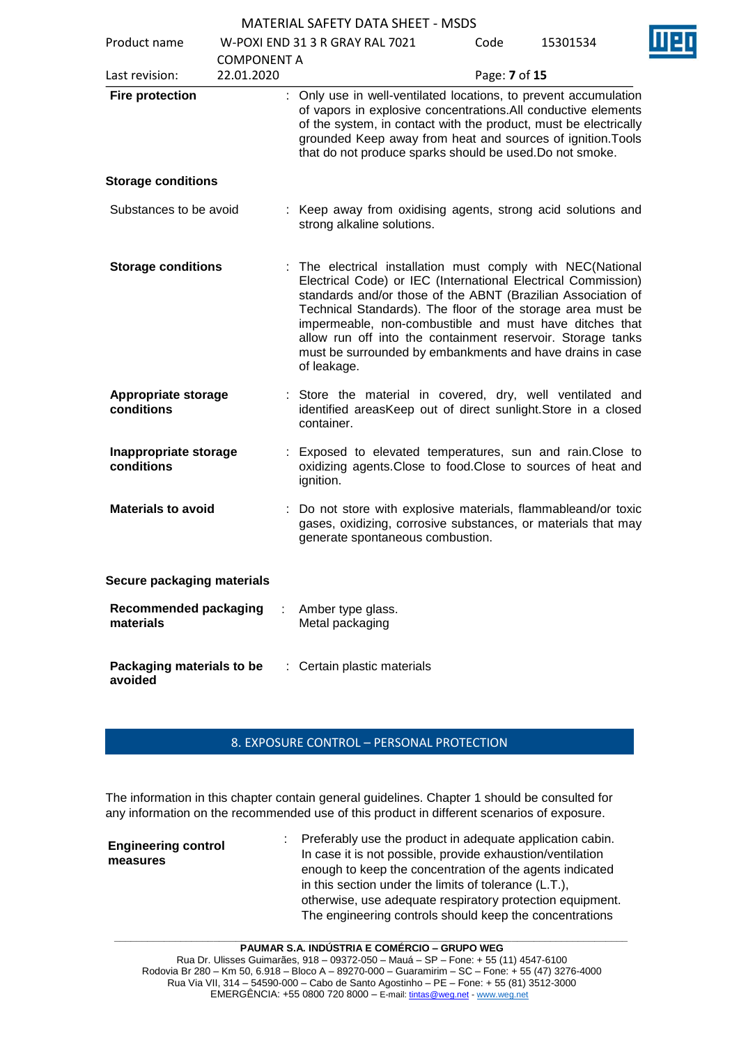| Product name                              |                                  | W-POXI END 31 3 R GRAY RAL 7021                                                                                                                                                                                                                                                                                                                                                                                                                                   | Code          | 15301534 |
|-------------------------------------------|----------------------------------|-------------------------------------------------------------------------------------------------------------------------------------------------------------------------------------------------------------------------------------------------------------------------------------------------------------------------------------------------------------------------------------------------------------------------------------------------------------------|---------------|----------|
| Last revision:                            | <b>COMPONENT A</b><br>22.01.2020 |                                                                                                                                                                                                                                                                                                                                                                                                                                                                   | Page: 7 of 15 |          |
| <b>Fire protection</b>                    |                                  | : Only use in well-ventilated locations, to prevent accumulation<br>of vapors in explosive concentrations. All conductive elements<br>of the system, in contact with the product, must be electrically<br>grounded Keep away from heat and sources of ignition. Tools<br>that do not produce sparks should be used. Do not smoke.                                                                                                                                 |               |          |
| <b>Storage conditions</b>                 |                                  |                                                                                                                                                                                                                                                                                                                                                                                                                                                                   |               |          |
| Substances to be avoid                    |                                  | : Keep away from oxidising agents, strong acid solutions and<br>strong alkaline solutions.                                                                                                                                                                                                                                                                                                                                                                        |               |          |
| <b>Storage conditions</b>                 |                                  | : The electrical installation must comply with NEC(National<br>Electrical Code) or IEC (International Electrical Commission)<br>standards and/or those of the ABNT (Brazilian Association of<br>Technical Standards). The floor of the storage area must be<br>impermeable, non-combustible and must have ditches that<br>allow run off into the containment reservoir. Storage tanks<br>must be surrounded by embankments and have drains in case<br>of leakage. |               |          |
| <b>Appropriate storage</b><br>conditions  |                                  | Store the material in covered, dry, well ventilated and<br>identified areasKeep out of direct sunlight. Store in a closed<br>container.                                                                                                                                                                                                                                                                                                                           |               |          |
| Inappropriate storage<br>conditions       |                                  | : Exposed to elevated temperatures, sun and rain. Close to<br>oxidizing agents. Close to food. Close to sources of heat and<br>ignition.                                                                                                                                                                                                                                                                                                                          |               |          |
| <b>Materials to avoid</b>                 |                                  | : Do not store with explosive materials, flammableand/or toxic<br>gases, oxidizing, corrosive substances, or materials that may<br>generate spontaneous combustion.                                                                                                                                                                                                                                                                                               |               |          |
| Secure packaging materials                |                                  |                                                                                                                                                                                                                                                                                                                                                                                                                                                                   |               |          |
| <b>Recommended packaging</b><br>materials |                                  | Amber type glass.<br>Metal packaging                                                                                                                                                                                                                                                                                                                                                                                                                              |               |          |
| Packaging materials to be<br>avoided      |                                  | : Certain plastic materials                                                                                                                                                                                                                                                                                                                                                                                                                                       |               |          |

## 8. EXPOSURE CONTROL – PERSONAL PROTECTION

The information in this chapter contain general guidelines. Chapter 1 should be consulted for any information on the recommended use of this product in different scenarios of exposure.

| <b>Engineering control</b><br>measures |  | : Preferably use the product in adequate application cabin.<br>In case it is not possible, provide exhaustion/ventilation<br>enough to keep the concentration of the agents indicated<br>in this section under the limits of tolerance $(L.T.)$ ,<br>otherwise, use adequate respiratory protection equipment.<br>The engineering controls should keep the concentrations |
|----------------------------------------|--|---------------------------------------------------------------------------------------------------------------------------------------------------------------------------------------------------------------------------------------------------------------------------------------------------------------------------------------------------------------------------|
|----------------------------------------|--|---------------------------------------------------------------------------------------------------------------------------------------------------------------------------------------------------------------------------------------------------------------------------------------------------------------------------------------------------------------------------|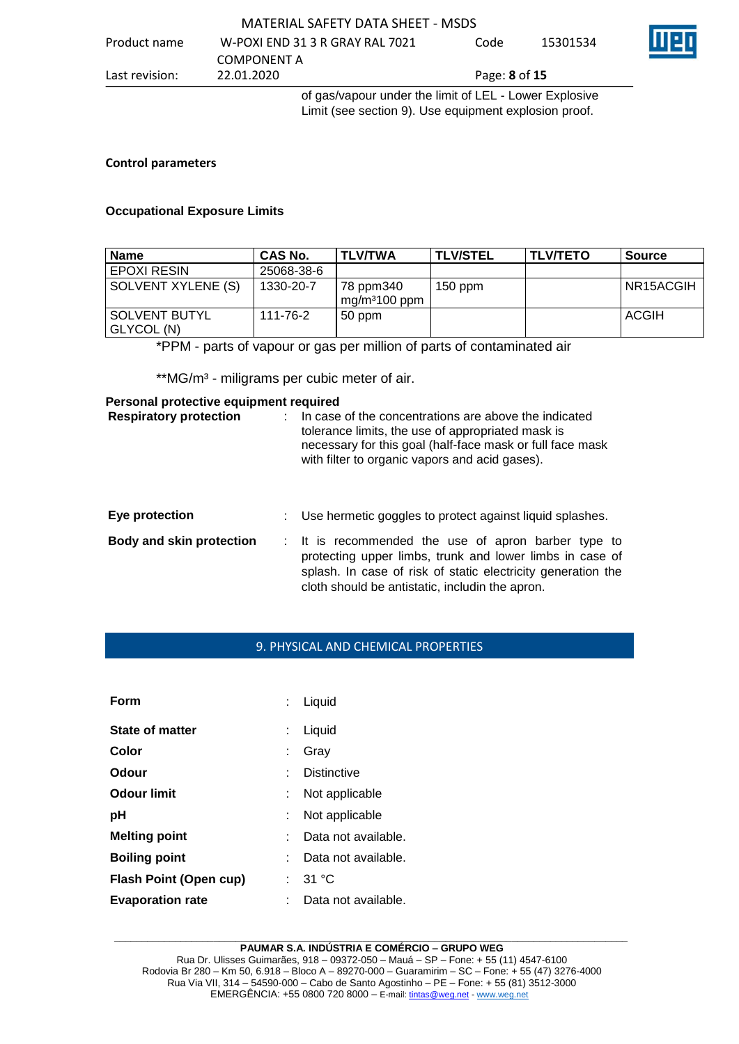| Product name   | W-POXI END 31 3 R GRAY RAL 7021                      | Code                        | 15301534 | Ш |
|----------------|------------------------------------------------------|-----------------------------|----------|---|
|                | COMPONENT A                                          |                             |          |   |
| Last revision: | 22.01.2020                                           | Page: <b>8</b> of <b>15</b> |          |   |
|                | of goc/vapour under the limit of LEL Lower Exploring |                             |          |   |

of gas/vapour under the limit of LEL - Lower Explosive Limit (see section 9). Use equipment explosion proof.

#### **Control parameters**

#### **Occupational Exposure Limits**

| <b>Name</b>                 | <b>CAS No.</b> | <b>TLV/TWA</b>              | <b>TLV/STEL</b> | <b>TLV/TETO</b> | <b>Source</b> |
|-----------------------------|----------------|-----------------------------|-----------------|-----------------|---------------|
| <b>EPOXI RESIN</b>          | 25068-38-6     |                             |                 |                 |               |
| SOLVENT XYLENE (S)          | 1330-20-7      | 78 ppm340<br>$mg/m3100$ ppm | $150$ ppm       |                 | NR15ACGIH     |
| SOLVENT BUTYL<br>GLYCOL (N) | 111-76-2       | 50 ppm                      |                 |                 | <b>ACGIH</b>  |

\*PPM - parts of vapour or gas per million of parts of contaminated air

\*\*MG/m<sup>3</sup> - miligrams per cubic meter of air.

### **Personal protective equipment required**

| <b>Respiratory protection</b>   | In case of the concentrations are above the indicated<br>tolerance limits, the use of appropriated mask is<br>necessary for this goal (half-face mask or full face mask<br>with filter to organic vapors and acid gases).          |
|---------------------------------|------------------------------------------------------------------------------------------------------------------------------------------------------------------------------------------------------------------------------------|
| Eye protection                  | Use hermetic goggles to protect against liquid splashes.                                                                                                                                                                           |
| <b>Body and skin protection</b> | : It is recommended the use of apron barber type to<br>protecting upper limbs, trunk and lower limbs in case of<br>splash. In case of risk of static electricity generation the<br>cloth should be antistatic, includin the apron. |

### 9. PHYSICAL AND CHEMICAL PROPERTIES

| Form                          |    | $:$ Liquid          |
|-------------------------------|----|---------------------|
| State of matter               | ÷. | Liquid              |
| Color                         |    | Grav                |
| Odour                         |    | <b>Distinctive</b>  |
| <b>Odour limit</b>            |    | Not applicable      |
| рH                            | ÷  | Not applicable      |
| <b>Melting point</b>          |    | Data not available. |
| <b>Boiling point</b>          |    | Data not available. |
| <b>Flash Point (Open cup)</b> |    | : $31^{\circ}$ C    |
| <b>Evaporation rate</b>       |    | Data not available. |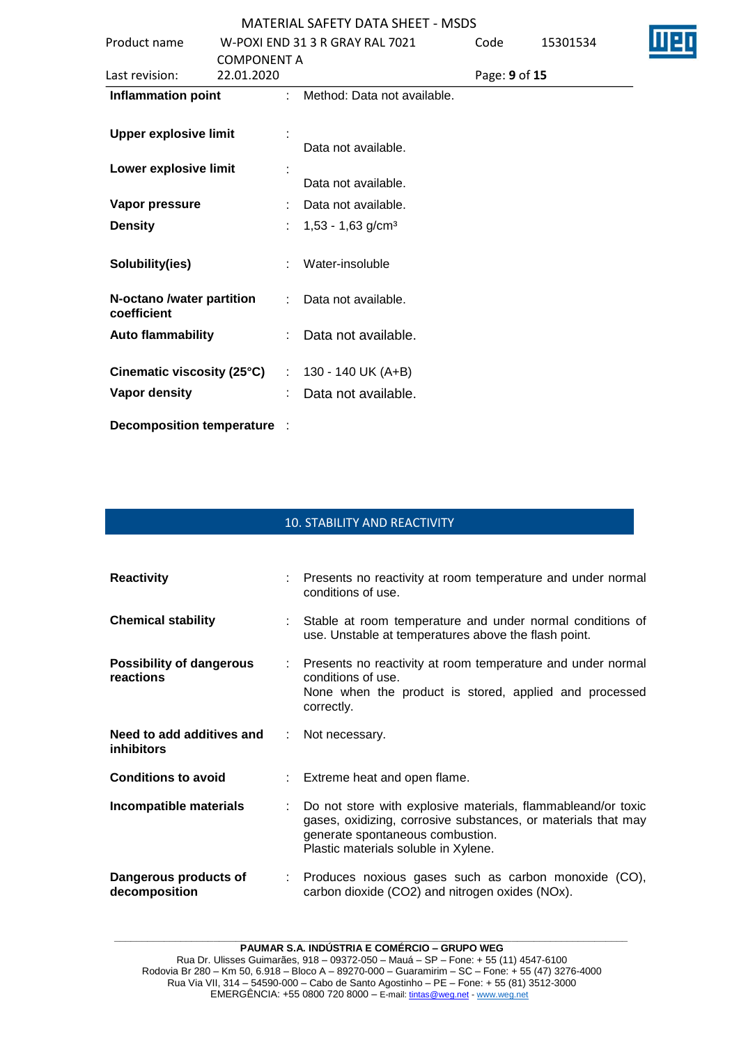| <b>MATERIAL SAFETY DATA SHEET - MSDS</b> |
|------------------------------------------|
|------------------------------------------|

|                              |                    |    | <b>UUATENIAL JALELI DATA JITLET TUJUJ</b> |               |          |  |
|------------------------------|--------------------|----|-------------------------------------------|---------------|----------|--|
| Product name                 |                    |    | W-POXI END 31 3 R GRAY RAL 7021           | Code          | 15301534 |  |
|                              | <b>COMPONENT A</b> |    |                                           |               |          |  |
| Last revision:               | 22.01.2020         |    |                                           | Page: 9 of 15 |          |  |
| <b>Inflammation point</b>    |                    | ÷. | Method: Data not available.               |               |          |  |
|                              |                    |    |                                           |               |          |  |
| <b>Upper explosive limit</b> |                    |    |                                           |               |          |  |
|                              |                    |    | Data not available.                       |               |          |  |
| Lower explosive limit        |                    |    |                                           |               |          |  |
|                              |                    |    | Data not available.                       |               |          |  |
| Vapor pressure               |                    |    | Data not available.                       |               |          |  |
| <b>Density</b>               |                    |    | $1,53 - 1,63$ g/cm <sup>3</sup>           |               |          |  |
|                              |                    |    |                                           |               |          |  |
| Solubility(ies)              |                    |    | Water-insoluble                           |               |          |  |
|                              |                    |    |                                           |               |          |  |
| N-octano /water partition    |                    | t. | Data not available.                       |               |          |  |
| coefficient                  |                    |    |                                           |               |          |  |
| <b>Auto flammability</b>     |                    |    | Data not available.                       |               |          |  |
|                              |                    |    |                                           |               |          |  |
| Cinematic viscosity (25°C)   |                    | t. | 130 - 140 UK (A+B)                        |               |          |  |
| Vapor density                |                    |    | Data not available.                       |               |          |  |
|                              |                    |    |                                           |               |          |  |
|                              |                    |    |                                           |               |          |  |

**Decomposition temperature** :

### 10. STABILITY AND REACTIVITY

| <b>Reactivity</b>                              | : Presents no reactivity at room temperature and under normal<br>conditions of use.                                                                                                                       |
|------------------------------------------------|-----------------------------------------------------------------------------------------------------------------------------------------------------------------------------------------------------------|
| <b>Chemical stability</b>                      | : Stable at room temperature and under normal conditions of<br>use. Unstable at temperatures above the flash point.                                                                                       |
| <b>Possibility of dangerous</b><br>reactions   | : Presents no reactivity at room temperature and under normal<br>conditions of use.<br>None when the product is stored, applied and processed<br>correctly.                                               |
| Need to add additives and<br><i>inhibitors</i> | : Not necessary.                                                                                                                                                                                          |
| <b>Conditions to avoid</b>                     | : Extreme heat and open flame.                                                                                                                                                                            |
| Incompatible materials                         | Do not store with explosive materials, flammableand/or toxic<br>gases, oxidizing, corrosive substances, or materials that may<br>generate spontaneous combustion.<br>Plastic materials soluble in Xylene. |
| Dangerous products of<br>decomposition         | : Produces noxious gases such as carbon monoxide (CO),<br>carbon dioxide (CO2) and nitrogen oxides (NOx).                                                                                                 |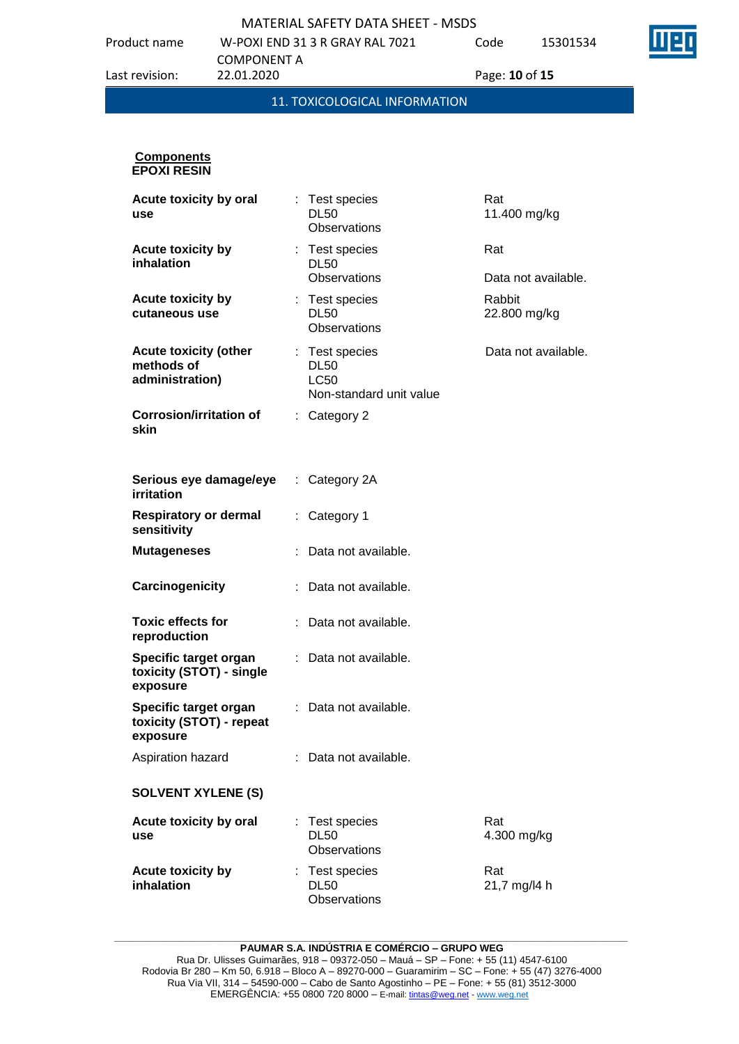Product name W-POXI END 31 3 R GRAY RAL 7021 COMPONENT A Last revision: 22.01.2020 Page: **10** of **15**

Code 15301534

11. TOXICOLOGICAL INFORMATION **Components EPOXI RESIN Acute toxicity by oral use** : Test species DL50 **Observations** Rat 11.400 mg/kg **Acute toxicity by inhalation** : Test species DL50 **Observations** Rat Data not available. **Acute toxicity by cutaneous use** : Test species DL50 **Observations** Rabbit 22.800 mg/kg **Acute toxicity (other methods of administration)** : Test species DL50 LC50 Non-standard unit value Data not available. **Corrosion/irritation of skin** : Category 2 **Serious eye damage/eye irritation** : Category 2A **Respiratory or dermal sensitivity** : Category 1 **Mutageneses** : Data not available. **Carcinogenicity** : Data not available. **Toxic effects for reproduction** : Data not available. **Specific target organ toxicity (STOT) - single exposure** : Data not available. **Specific target organ toxicity (STOT) - repeat exposure** : Data not available. Aspiration hazard : Data not available. **SOLVENT XYLENE (S) Acute toxicity by oral use** : Test species DL50 **Observations** Rat 4.300 mg/kg **Acute toxicity by inhalation** : Test species DL50 Rat 21,7 mg/l4 h

**\_\_\_\_\_\_\_\_\_\_\_\_\_\_\_\_\_\_\_\_\_\_\_\_\_\_\_\_\_\_\_\_\_\_\_\_\_\_\_\_\_\_\_\_\_\_\_\_\_\_\_\_\_\_\_\_\_\_\_\_\_\_\_\_\_\_\_\_\_\_\_\_\_\_\_\_\_\_\_\_\_\_\_\_\_\_\_\_\_\_\_\_\_ PAUMAR S.A. INDÚSTRIA E COMÉRCIO – GRUPO WEG**

**Observations**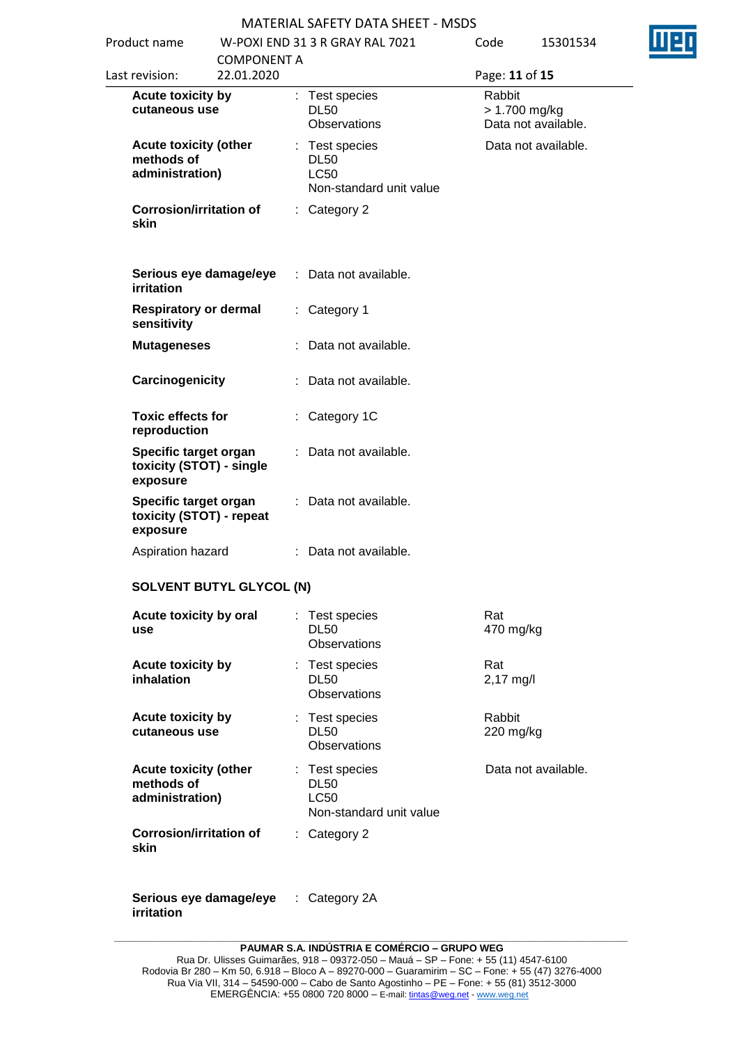| Product name                                                  |                                  | W-POXI END 31 3 R GRAY RAL 7021                                         | Code                | 15301534                             |
|---------------------------------------------------------------|----------------------------------|-------------------------------------------------------------------------|---------------------|--------------------------------------|
| Last revision:                                                | <b>COMPONENT A</b><br>22.01.2020 |                                                                         | Page: 11 of 15      |                                      |
| Acute toxicity by<br>cutaneous use                            |                                  | : Test species<br><b>DL50</b><br>Observations                           | Rabbit              | > 1.700 mg/kg<br>Data not available. |
| <b>Acute toxicity (other</b><br>methods of<br>administration) |                                  | : Test species<br><b>DL50</b><br><b>LC50</b><br>Non-standard unit value |                     | Data not available.                  |
| <b>Corrosion/irritation of</b><br>skin                        |                                  | : Category 2                                                            |                     |                                      |
| Serious eye damage/eye<br>irritation                          |                                  | : Data not available.                                                   |                     |                                      |
| <b>Respiratory or dermal</b><br>sensitivity                   |                                  | : Category 1                                                            |                     |                                      |
| <b>Mutageneses</b>                                            |                                  | : Data not available.                                                   |                     |                                      |
| Carcinogenicity                                               |                                  | Data not available.                                                     |                     |                                      |
| <b>Toxic effects for</b><br>reproduction                      |                                  | Category 1C                                                             |                     |                                      |
| Specific target organ<br>toxicity (STOT) - single<br>exposure |                                  | : Data not available.                                                   |                     |                                      |
| Specific target organ<br>toxicity (STOT) - repeat<br>exposure |                                  | : Data not available.                                                   |                     |                                      |
| Aspiration hazard                                             |                                  | : Data not available.                                                   |                     |                                      |
|                                                               | <b>SOLVENT BUTYL GLYCOL (N)</b>  |                                                                         |                     |                                      |
| Acute toxicity by oral<br>use                                 |                                  | : Test species<br><b>DL50</b><br>Observations                           | Rat<br>470 mg/kg    |                                      |
| Acute toxicity by<br>inhalation                               |                                  | : Test species<br><b>DL50</b><br><b>Observations</b>                    | Rat<br>$2,17$ mg/l  |                                      |
| Acute toxicity by<br>cutaneous use                            |                                  | : Test species<br><b>DL50</b><br>Observations                           | Rabbit<br>220 mg/kg |                                      |
| <b>Acute toxicity (other</b><br>methods of<br>administration) |                                  | : Test species<br><b>DL50</b><br><b>LC50</b><br>Non-standard unit value |                     | Data not available.                  |
| <b>Corrosion/irritation of</b><br>skin                        |                                  | $:$ Category 2                                                          |                     |                                      |

**Serious eye damage/eye**  : Category 2A**irritation**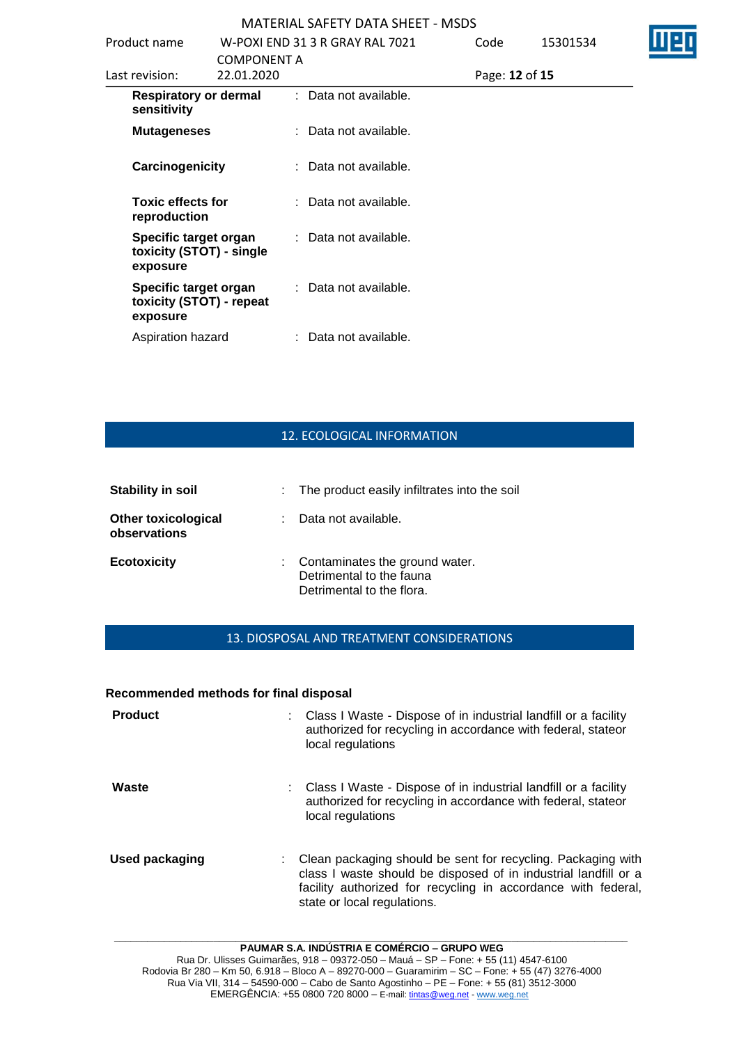| Product name                                                  |                                  | W-POXI END 31 3 R GRAY RAL 7021 | Code | 15301534       |  |
|---------------------------------------------------------------|----------------------------------|---------------------------------|------|----------------|--|
| Last revision:                                                | <b>COMPONENT A</b><br>22.01.2020 |                                 |      | Page: 12 of 15 |  |
| <b>Respiratory or dermal</b><br>sensitivity                   |                                  | : Data not available.           |      |                |  |
| <b>Mutageneses</b>                                            |                                  | : Data not available.           |      |                |  |
| Carcinogenicity                                               |                                  | : Data not available.           |      |                |  |
| <b>Toxic effects for</b><br>reproduction                      |                                  | : Data not available.           |      |                |  |
| Specific target organ<br>toxicity (STOT) - single<br>exposure |                                  | : Data not available.           |      |                |  |
| Specific target organ<br>toxicity (STOT) - repeat<br>exposure |                                  | : Data not available.           |      |                |  |
| Aspiration hazard                                             |                                  | : Data not available.           |      |                |  |

### 12. ECOLOGICAL INFORMATION

| <b>Stability in soil</b>                   | : The product easily infiltrates into the soil                                            |
|--------------------------------------------|-------------------------------------------------------------------------------------------|
| <b>Other toxicological</b><br>observations | Data not available.                                                                       |
| <b>Ecotoxicity</b>                         | : Contaminates the ground water.<br>Detrimental to the fauna<br>Detrimental to the flora. |

### 13. DIOSPOSAL AND TREATMENT CONSIDERATIONS

### **Recommended methods for final disposal**

| <b>Product</b> | : Class I Waste - Dispose of in industrial landfill or a facility<br>authorized for recycling in accordance with federal, stateor<br>local regulations                                                                          |
|----------------|---------------------------------------------------------------------------------------------------------------------------------------------------------------------------------------------------------------------------------|
| Waste          | : Class I Waste - Dispose of in industrial landfill or a facility<br>authorized for recycling in accordance with federal, stateor<br>local regulations                                                                          |
| Used packaging | Clean packaging should be sent for recycling. Packaging with<br>class I waste should be disposed of in industrial landfill or a<br>facility authorized for recycling in accordance with federal,<br>state or local regulations. |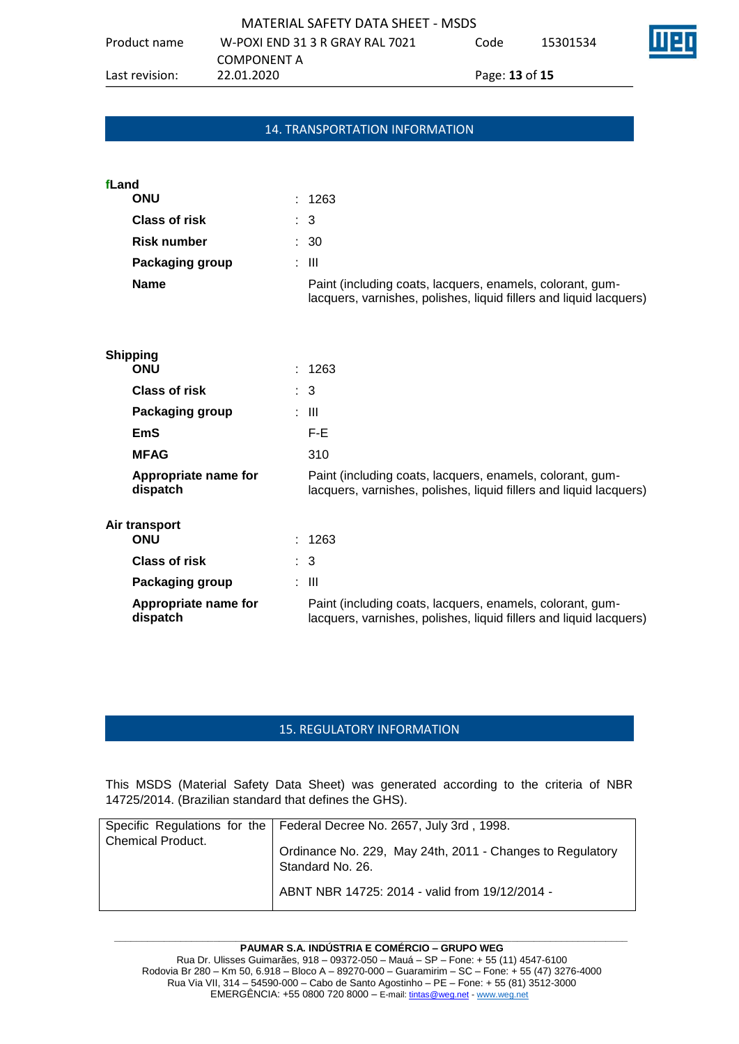### 14. TRANSPORTATION INFORMATION

| fLand                |                                                                                                                                 |
|----------------------|---------------------------------------------------------------------------------------------------------------------------------|
| <b>ONU</b>           | : 1263                                                                                                                          |
| <b>Class of risk</b> | : 3                                                                                                                             |
| <b>Risk number</b>   | : 30                                                                                                                            |
| Packaging group      | : III                                                                                                                           |
| <b>Name</b>          | Paint (including coats, lacquers, enamels, colorant, gum-<br>lacquers, varnishes, polishes, liquid fillers and liquid lacquers) |
|                      |                                                                                                                                 |

| <b>Shipping</b>                  |                                                                                                                                 |
|----------------------------------|---------------------------------------------------------------------------------------------------------------------------------|
| <b>ONU</b>                       | : 1263                                                                                                                          |
| <b>Class of risk</b>             | $\therefore$ 3                                                                                                                  |
| Packaging group                  | : III                                                                                                                           |
| <b>EmS</b>                       | F-E.                                                                                                                            |
| <b>MFAG</b>                      | 310                                                                                                                             |
| Appropriate name for<br>dispatch | Paint (including coats, lacquers, enamels, colorant, gum-<br>lacquers, varnishes, polishes, liquid fillers and liquid lacquers) |
| Air transport                    |                                                                                                                                 |
| <b>ONU</b>                       | : 1263                                                                                                                          |
| <b>Class of risk</b>             | $\therefore$ 3                                                                                                                  |
| Packaging group                  | : III                                                                                                                           |
| Appropriate name for<br>dispatch | Paint (including coats, lacquers, enamels, colorant, gum-<br>lacquers, varnishes, polishes, liquid fillers and liquid lacquers) |

### 15. REGULATORY INFORMATION

This MSDS (Material Safety Data Sheet) was generated according to the criteria of NBR 14725/2014. (Brazilian standard that defines the GHS).

| <b>Chemical Product.</b> | Specific Regulations for the   Federal Decree No. 2657, July 3rd, 1998.       |
|--------------------------|-------------------------------------------------------------------------------|
|                          | Ordinance No. 229, May 24th, 2011 - Changes to Regulatory<br>Standard No. 26. |
|                          | ABNT NBR 14725: 2014 - valid from 19/12/2014 -                                |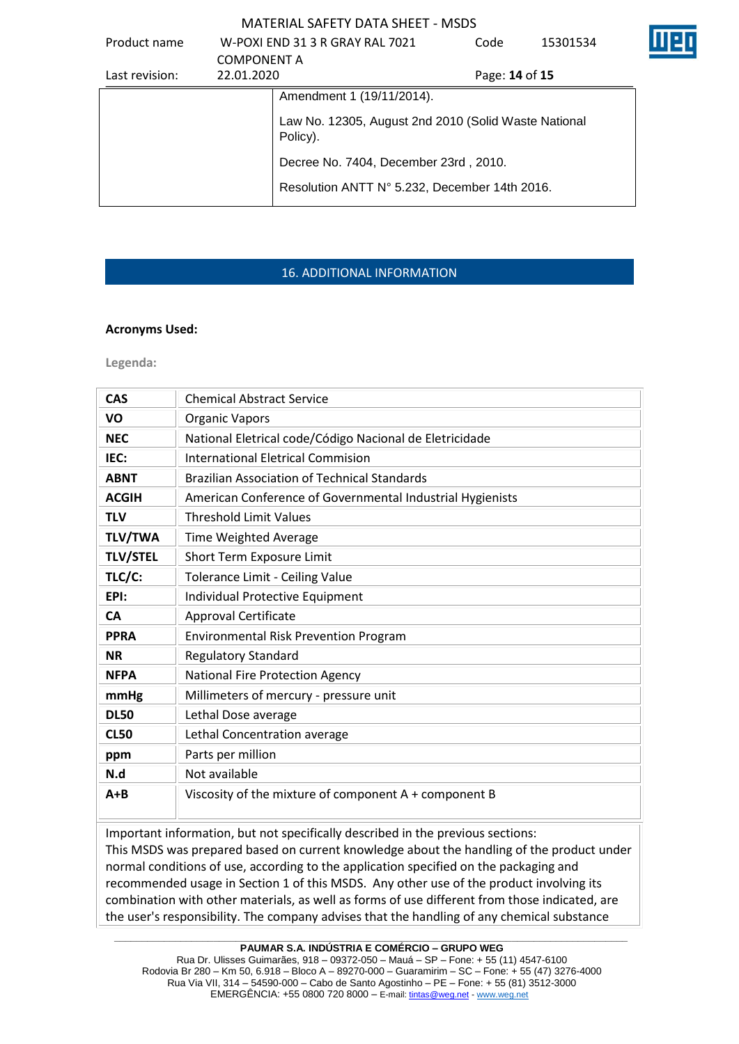| Product name   |                    | W-POXI END 31 3 R GRAY RAL 7021                                  | Code           | 15301534 |  |
|----------------|--------------------|------------------------------------------------------------------|----------------|----------|--|
|                | <b>COMPONENT A</b> |                                                                  |                |          |  |
| Last revision: | 22.01.2020         |                                                                  | Page: 14 of 15 |          |  |
|                |                    | Amendment 1 (19/11/2014).                                        |                |          |  |
|                |                    | Law No. 12305, August 2nd 2010 (Solid Waste National<br>Policy). |                |          |  |
|                |                    | Decree No. 7404, December 23rd, 2010.                            |                |          |  |
|                |                    | Resolution ANTT N° 5.232, December 14th 2016.                    |                |          |  |

# 16. ADDITIONAL INFORMATION

### **Acronyms Used:**

**Legenda:**

| <b>CAS</b>      | <b>Chemical Abstract Service</b>                          |
|-----------------|-----------------------------------------------------------|
| VO              | <b>Organic Vapors</b>                                     |
| <b>NEC</b>      | National Eletrical code/Código Nacional de Eletricidade   |
| IEC:            | <b>International Eletrical Commision</b>                  |
| <b>ABNT</b>     | <b>Brazilian Association of Technical Standards</b>       |
| <b>ACGIH</b>    | American Conference of Governmental Industrial Hygienists |
| <b>TLV</b>      | <b>Threshold Limit Values</b>                             |
| <b>TLV/TWA</b>  | Time Weighted Average                                     |
| <b>TLV/STEL</b> | Short Term Exposure Limit                                 |
| TLC/C:          | Tolerance Limit - Ceiling Value                           |
| EPI:            | Individual Protective Equipment                           |
| <b>CA</b>       | <b>Approval Certificate</b>                               |
| <b>PPRA</b>     | <b>Environmental Risk Prevention Program</b>              |
| <b>NR</b>       | <b>Regulatory Standard</b>                                |
| <b>NFPA</b>     | <b>National Fire Protection Agency</b>                    |
| mmHg            | Millimeters of mercury - pressure unit                    |
| <b>DL50</b>     | Lethal Dose average                                       |
| <b>CL50</b>     | Lethal Concentration average                              |
| ppm             | Parts per million                                         |
| N.d             | Not available                                             |
| $A + B$         | Viscosity of the mixture of component A + component B     |

Important information, but not specifically described in the previous sections: This MSDS was prepared based on current knowledge about the handling of the product under normal conditions of use, according to the application specified on the packaging and recommended usage in Section 1 of this MSDS. Any other use of the product involving its combination with other materials, as well as forms of use different from those indicated, are the user's responsibility. The company advises that the handling of any chemical substance

**\_\_\_\_\_\_\_\_\_\_\_\_\_\_\_\_\_\_\_\_\_\_\_\_\_\_\_\_\_\_\_\_\_\_\_\_\_\_\_\_\_\_\_\_\_\_\_\_\_\_\_\_\_\_\_\_\_\_\_\_\_\_\_\_\_\_\_\_\_\_\_\_\_\_\_\_\_\_\_\_\_\_\_\_\_\_\_\_\_\_\_\_\_ PAUMAR S.A. INDÚSTRIA E COMÉRCIO – GRUPO WEG**